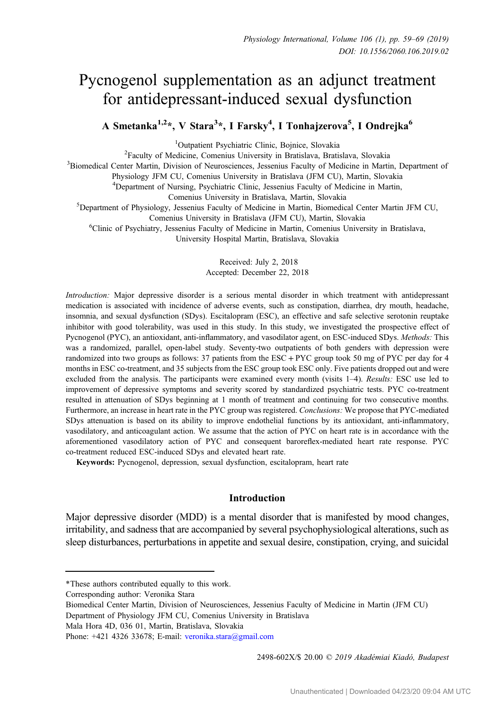# Pycnogenol supplementation as an adjunct treatment for antidepressant-induced sexual dysfunction

A Smetanka<sup>1,2</sup>\*, V Stara<sup>3</sup>\*, I Farsky<sup>4</sup>, I Tonhajzerova<sup>5</sup>, I Ondrejka<sup>6</sup>

<sup>1</sup>Outpatient Psychiatric Clinic, Bojnice, Slovakia <sup>1</sup>Outpatient Psychiatric Clinic, Bojnice, Slovakia<sup>2</sup><br><sup>2</sup> Eaculty of Medicine, Comenius University in Bratislava, Brati

Faculty of Medicine, Comenius University in Bratislava, Bratislava, Slovakia<sup>3</sup><br>Siomedical Center Martin, Division of Neurosciences, Jessenius Eaculty of Medicine in Marti<sup>3</sup>

<sup>3</sup>Biomedical Center Martin, Division of Neurosciences, Jessenius Faculty of Medicine in Martin, Department of

Physiology JFM CU, Comenius University in Bratislava (JFM CU), Martin, Slovakia

4 Department of Nursing, Psychiatric Clinic, Jessenius Faculty of Medicine in Martin,

Comenius University in Bratislava, Martin, Slovakia<br><sup>5</sup>Department of Physiology, Jessenius Faculty of Medicine in Martin, Biomedical Center Martin JFM CU,

Comenius University in Bratislava (JFM CU), Martin, Slovakia <sup>6</sup>

Clinic of Psychiatry, Jessenius Faculty of Medicine in Martin, Comenius University in Bratislava,

University Hospital Martin, Bratislava, Slovakia

Received: July 2, 2018 Accepted: December 22, 2018

Introduction: Major depressive disorder is a serious mental disorder in which treatment with antidepressant medication is associated with incidence of adverse events, such as constipation, diarrhea, dry mouth, headache, insomnia, and sexual dysfunction (SDys). Escitalopram (ESC), an effective and safe selective serotonin reuptake inhibitor with good tolerability, was used in this study. In this study, we investigated the prospective effect of Pycnogenol (PYC), an antioxidant, anti-inflammatory, and vasodilator agent, on ESC-induced SDys. Methods: This was a randomized, parallel, open-label study. Seventy-two outpatients of both genders with depression were randomized into two groups as follows: 37 patients from the ESC + PYC group took 50 mg of PYC per day for 4 months in ESC co-treatment, and 35 subjects from the ESC group took ESC only. Five patients dropped out and were excluded from the analysis. The participants were examined every month (visits 1–4). Results: ESC use led to improvement of depressive symptoms and severity scored by standardized psychiatric tests. PYC co-treatment resulted in attenuation of SDys beginning at 1 month of treatment and continuing for two consecutive months. Furthermore, an increase in heart rate in the PYC group was registered. Conclusions: We propose that PYC-mediated SDys attenuation is based on its ability to improve endothelial functions by its antioxidant, anti-inflammatory, vasodilatory, and anticoagulant action. We assume that the action of PYC on heart rate is in accordance with the aforementioned vasodilatory action of PYC and consequent baroreflex-mediated heart rate response. PYC co-treatment reduced ESC-induced SDys and elevated heart rate.

Keywords: Pycnogenol, depression, sexual dysfunction, escitalopram, heart rate

# Introduction

Major depressive disorder (MDD) is a mental disorder that is manifested by mood changes, irritability, and sadness that are accompanied by several psychophysiological alterations, such as sleep disturbances, perturbations in appetite and sexual desire, constipation, crying, and suicidal

Biomedical Center Martin, Division of Neurosciences, Jessenius Faculty of Medicine in Martin (JFM CU) Department of Physiology JFM CU, Comenius University in Bratislava

Mala Hora 4D, 036 01, Martin, Bratislava, Slovakia

2498-602X/\$ 20.00 © 2019 Akadémiai Kiadó, Budapest

<sup>\*</sup>These authors contributed equally to this work.

Corresponding author: Veronika Stara

Phone: +421 4326 33678; E-mail: [veronika.stara@gmail.com](mailto:veronika.stara@gmail.com)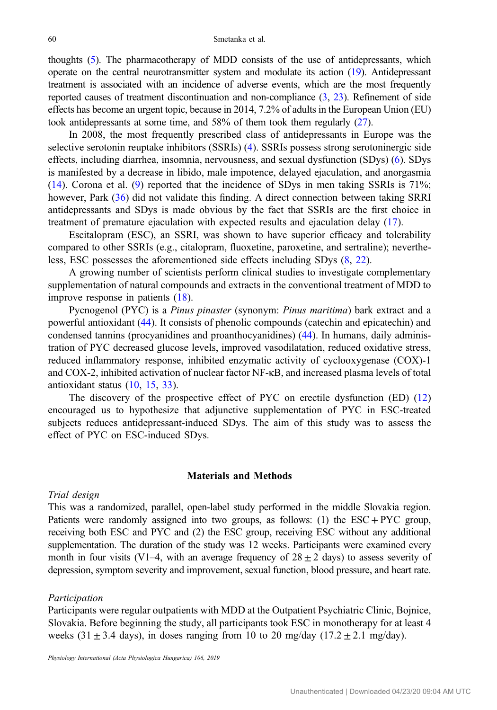thoughts ([5\)](#page-9-0). The pharmacotherapy of MDD consists of the use of antidepressants, which operate on the central neurotransmitter system and modulate its action [\(19\)](#page-9-0). Antidepressant treatment is associated with an incidence of adverse events, which are the most frequently reported causes of treatment discontinuation and non-compliance ([3,](#page-9-0) [23](#page-9-0)). Refinement of side effects has become an urgent topic, because in 2014, 7.2% of adults in the European Union (EU) took antidepressants at some time, and 58% of them took them regularly [\(27](#page-10-0)).

In 2008, the most frequently prescribed class of antidepressants in Europe was the selective serotonin reuptake inhibitors (SSRIs) [\(4](#page-9-0)). SSRIs possess strong serotoninergic side effects, including diarrhea, insomnia, nervousness, and sexual dysfunction (SDys) [\(6](#page-9-0)). SDys is manifested by a decrease in libido, male impotence, delayed ejaculation, and anorgasmia [\(14](#page-9-0)). Corona et al. [\(9](#page-9-0)) reported that the incidence of SDys in men taking SSRIs is 71%; however, Park [\(36](#page-10-0)) did not validate this finding. A direct connection between taking SRRI antidepressants and SDys is made obvious by the fact that SSRIs are the first choice in treatment of premature ejaculation with expected results and ejaculation delay ([17\)](#page-9-0).

Escitalopram (ESC), an SSRI, was shown to have superior efficacy and tolerability compared to other SSRIs (e.g., citalopram, fluoxetine, paroxetine, and sertraline); nevertheless, ESC possesses the aforementioned side effects including SDys ([8,](#page-9-0) [22\)](#page-9-0).

A growing number of scientists perform clinical studies to investigate complementary supplementation of natural compounds and extracts in the conventional treatment of MDD to improve response in patients [\(18](#page-9-0)).

Pycnogenol (PYC) is a Pinus pinaster (synonym: Pinus maritima) bark extract and a powerful antioxidant ([44\)](#page-10-0). It consists of phenolic compounds (catechin and epicatechin) and condensed tannins (procyanidines and proanthocyanidines) [\(44](#page-10-0)). In humans, daily administration of PYC decreased glucose levels, improved vasodilatation, reduced oxidative stress, reduced inflammatory response, inhibited enzymatic activity of cyclooxygenase (COX)-1 and COX-2, inhibited activation of nuclear factor NF-κB, and increased plasma levels of total antioxidant status [\(10](#page-9-0), [15](#page-9-0), [33](#page-10-0)).

The discovery of the prospective effect of PYC on erectile dysfunction (ED) ([12\)](#page-9-0) encouraged us to hypothesize that adjunctive supplementation of PYC in ESC-treated subjects reduces antidepressant-induced SDys. The aim of this study was to assess the effect of PYC on ESC-induced SDys.

# Materials and Methods

#### Trial design

This was a randomized, parallel, open-label study performed in the middle Slovakia region. Patients were randomly assigned into two groups, as follows: (1) the  $\text{ESC} + \text{PYC}$  group, receiving both ESC and PYC and (2) the ESC group, receiving ESC without any additional supplementation. The duration of the study was 12 weeks. Participants were examined every month in four visits (V1–4, with an average frequency of  $28 \pm 2$  days) to assess severity of depression, symptom severity and improvement, sexual function, blood pressure, and heart rate.

#### Participation

Participants were regular outpatients with MDD at the Outpatient Psychiatric Clinic, Bojnice, Slovakia. Before beginning the study, all participants took ESC in monotherapy for at least 4 weeks (31  $\pm$  3.4 days), in doses ranging from 10 to 20 mg/day (17.2  $\pm$  2.1 mg/day).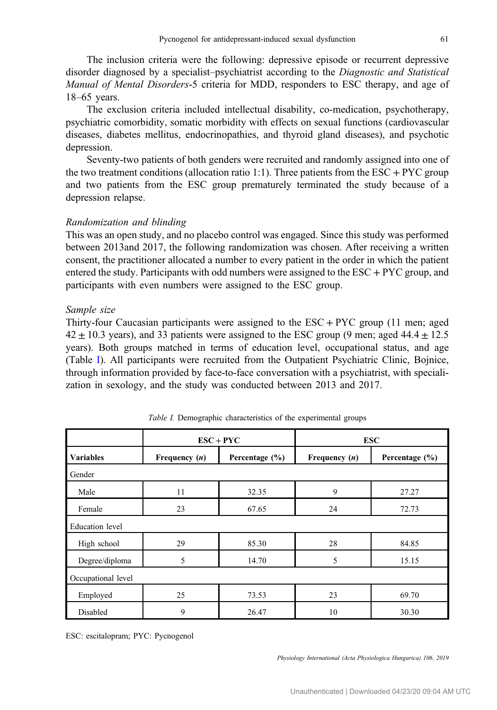The inclusion criteria were the following: depressive episode or recurrent depressive disorder diagnosed by a specialist–psychiatrist according to the Diagnostic and Statistical Manual of Mental Disorders-5 criteria for MDD, responders to ESC therapy, and age of 18–65 years.

The exclusion criteria included intellectual disability, co-medication, psychotherapy, psychiatric comorbidity, somatic morbidity with effects on sexual functions (cardiovascular diseases, diabetes mellitus, endocrinopathies, and thyroid gland diseases), and psychotic depression.

Seventy-two patients of both genders were recruited and randomly assigned into one of the two treatment conditions (allocation ratio 1:1). Three patients from the ESC + PYC group and two patients from the ESC group prematurely terminated the study because of a depression relapse.

# Randomization and blinding

This was an open study, and no placebo control was engaged. Since this study was performed between 2013and 2017, the following randomization was chosen. After receiving a written consent, the practitioner allocated a number to every patient in the order in which the patient entered the study. Participants with odd numbers were assigned to the  $\text{ESC} + \text{PYC}$  group, and participants with even numbers were assigned to the ESC group.

# Sample size

Thirty-four Caucasian participants were assigned to the ESC + PYC group (11 men; aged  $42 \pm 10.3$  years), and 33 patients were assigned to the ESC group (9 men; aged  $44.4 \pm 12.5$ years). Both groups matched in terms of education level, occupational status, and age (Table I). All participants were recruited from the Outpatient Psychiatric Clinic, Bojnice, through information provided by face-to-face conversation with a psychiatrist, with specialization in sexology, and the study was conducted between 2013 and 2017.

|                        | $ESC + PYC$     |                    | <b>ESC</b>      |                    |
|------------------------|-----------------|--------------------|-----------------|--------------------|
| <b>Variables</b>       | Frequency $(n)$ | Percentage $(\% )$ | Frequency $(n)$ | Percentage $(\% )$ |
| Gender                 |                 |                    |                 |                    |
| Male                   | 11              | 32.35              | 9               | 27.27              |
| Female                 | 23              | 67.65              | 24              | 72.73              |
| <b>Education</b> level |                 |                    |                 |                    |
| High school            | 29              | 85.30              | 28              | 84.85              |
| Degree/diploma         | 5               | 14.70              | 5               | 15.15              |
| Occupational level     |                 |                    |                 |                    |
| Employed               | 25              | 73.53              | 23              | 69.70              |
| Disabled               | 9               | 26.47              | 10              | 30.30              |

Table I. Demographic characteristics of the experimental groups

ESC: escitalopram; PYC: Pycnogenol

Physiology International (Acta Physiologica Hungarica) 106, 2019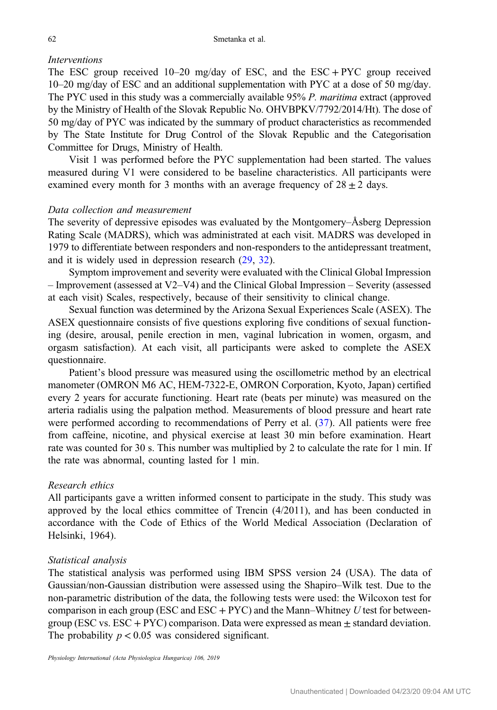## Interventions

The ESC group received 10–20 mg/day of ESC, and the ESC + PYC group received 10–20 mg/day of ESC and an additional supplementation with PYC at a dose of 50 mg/day. The PYC used in this study was a commercially available 95% P. maritima extract (approved by the Ministry of Health of the Slovak Republic No. OHVBPKV/7792/2014/Ht). The dose of 50 mg/day of PYC was indicated by the summary of product characteristics as recommended by The State Institute for Drug Control of the Slovak Republic and the Categorisation Committee for Drugs, Ministry of Health.

Visit 1 was performed before the PYC supplementation had been started. The values measured during V1 were considered to be baseline characteristics. All participants were examined every month for 3 months with an average frequency of  $28 \pm 2$  days.

#### Data collection and measurement

The severity of depressive episodes was evaluated by the Montgomery–Åsberg Depression Rating Scale (MADRS), which was administrated at each visit. MADRS was developed in 1979 to differentiate between responders and non-responders to the antidepressant treatment, and it is widely used in depression research ([29,](#page-10-0) [32\)](#page-10-0).

Symptom improvement and severity were evaluated with the Clinical Global Impression – Improvement (assessed at V2–V4) and the Clinical Global Impression – Severity (assessed at each visit) Scales, respectively, because of their sensitivity to clinical change.

Sexual function was determined by the Arizona Sexual Experiences Scale (ASEX). The ASEX questionnaire consists of five questions exploring five conditions of sexual functioning (desire, arousal, penile erection in men, vaginal lubrication in women, orgasm, and orgasm satisfaction). At each visit, all participants were asked to complete the ASEX questionnaire.

Patient's blood pressure was measured using the oscillometric method by an electrical manometer (OMRON M6 AC, HEM-7322-E, OMRON Corporation, Kyoto, Japan) certified every 2 years for accurate functioning. Heart rate (beats per minute) was measured on the arteria radialis using the palpation method. Measurements of blood pressure and heart rate were performed according to recommendations of Perry et al.  $(37)$  $(37)$ . All patients were free from caffeine, nicotine, and physical exercise at least 30 min before examination. Heart rate was counted for 30 s. This number was multiplied by 2 to calculate the rate for 1 min. If the rate was abnormal, counting lasted for 1 min.

# Research ethics

All participants gave a written informed consent to participate in the study. This study was approved by the local ethics committee of Trencin (4/2011), and has been conducted in accordance with the Code of Ethics of the World Medical Association (Declaration of Helsinki, 1964).

#### Statistical analysis

The statistical analysis was performed using IBM SPSS version 24 (USA). The data of Gaussian/non-Gaussian distribution were assessed using the Shapiro–Wilk test. Due to the non-parametric distribution of the data, the following tests were used: the Wilcoxon test for comparison in each group (ESC and  $\text{ESC} + \text{PYC}$ ) and the Mann–Whitney U test for betweengroup (ESC vs.  $\text{ESC} + \text{PYC}$ ) comparison. Data were expressed as mean  $\pm$  standard deviation. The probability  $p < 0.05$  was considered significant.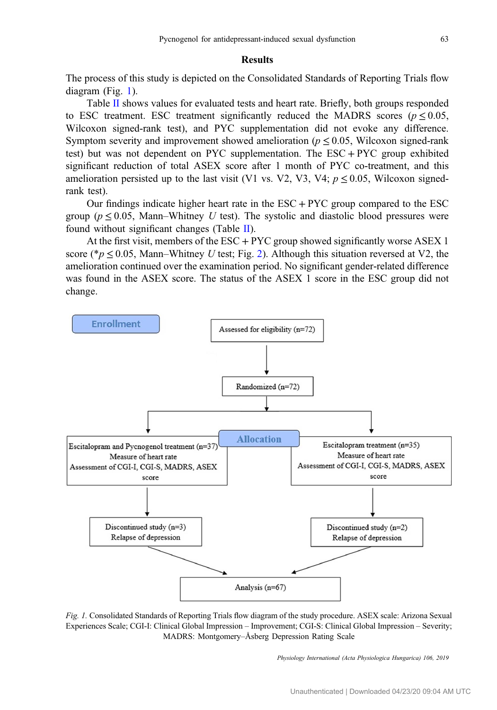## Results

The process of this study is depicted on the Consolidated Standards of Reporting Trials flow diagram (Fig. 1).

Table [II](#page-5-0) shows values for evaluated tests and heart rate. Briefly, both groups responded to ESC treatment. ESC treatment significantly reduced the MADRS scores ( $p \le 0.05$ , Wilcoxon signed-rank test), and PYC supplementation did not evoke any difference. Symptom severity and improvement showed amelioration ( $p \le 0.05$ , Wilcoxon signed-rank test) but was not dependent on PYC supplementation. The ESC + PYC group exhibited significant reduction of total ASEX score after 1 month of PYC co-treatment, and this amelioration persisted up to the last visit (V1 vs. V2, V3, V4;  $p \le 0.05$ , Wilcoxon signedrank test).

Our findings indicate higher heart rate in the  $\text{ESC} + \text{PYC}$  group compared to the  $\text{ESC}$ group ( $p \le 0.05$ , Mann–Whitney U test). The systolic and diastolic blood pressures were found without significant changes (Table [II\)](#page-5-0).

At the first visit, members of the  $\text{ESC} + \text{PYC}$  group showed significantly worse ASEX 1 score (\* $p \le 0.05$ , Mann–Whitney U test; Fig. [2](#page-6-0)). Although this situation reversed at V2, the amelioration continued over the examination period. No significant gender-related difference was found in the ASEX score. The status of the ASEX 1 score in the ESC group did not change.



Fig. 1. Consolidated Standards of Reporting Trials flow diagram of the study procedure. ASEX scale: Arizona Sexual Experiences Scale; CGI-I: Clinical Global Impression – Improvement; CGI-S: Clinical Global Impression – Severity; MADRS: Montgomery–Åsberg Depression Rating Scale

Physiology International (Acta Physiologica Hungarica) 106, 2019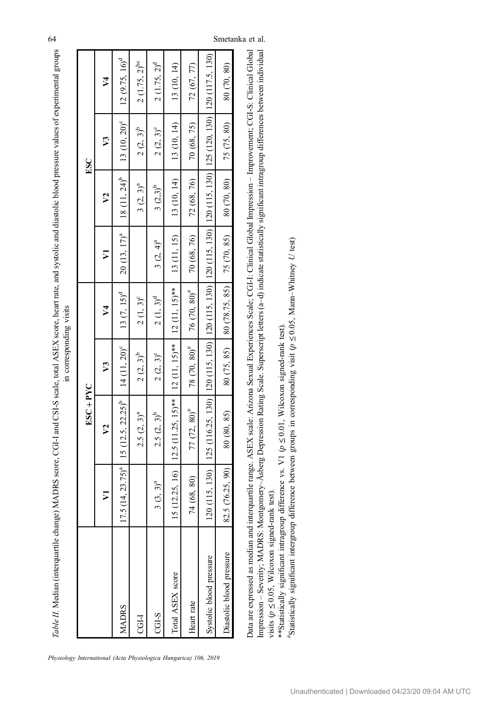<span id="page-5-0"></span>Table II. Median (interquartile change) MADRS score, CGI-I and CSI-S scale, total ASEX score, heart rate, and systolic and diastolic blood pressure values of experimental groups Table II. Median (interquartile change) MADRS score, CGI-I and CSI-S scale, total ASEX score, heart rate, and systolic and diastolic blood pressure values of experimental groups in corresponding visits in corresponding visits

|                          |                  | $ESC + PYC$                                                                                |                   |                                                |             |                                        | ESC                                       |                                   |
|--------------------------|------------------|--------------------------------------------------------------------------------------------|-------------------|------------------------------------------------|-------------|----------------------------------------|-------------------------------------------|-----------------------------------|
|                          |                  | $\mathcal{V}^2$                                                                            | $\mathfrak{p}$    | $\frac{4}{3}$                                  | ⋝           | V <sub>2</sub>                         | $\mathcal{V}$                             | $\sqrt{2}$                        |
| <b>MADRS</b>             |                  | $17.5(14, 23.75)^{a}$   15 (12.5, 22.25) <sup>b</sup>   14 (11, 20) <sup>c</sup>           |                   | $\begin{bmatrix} 13 & (7, 15)^d \end{bmatrix}$ |             | $20(13, 17)2$ 18 (11, 24) <sup>b</sup> | $13(10, 20)^e$ 12 (9.75, 16) <sup>d</sup> |                                   |
| <b>TGH</b>               |                  | $2.5 (2, 3)^{a}$                                                                           | $2(2, 3)^b$       | $2(1, 3)^c$                                    |             | $3 (2, 3)^{a}$                         | $2(2, 3)^{b}$                             | $2(1.75, 2)^{bc}$                 |
| $CGI-S$                  | $3(3,3)^a$       | $2.5 (2, 3)^b$                                                                             | $2(2, 3)^c$       | $2(1, 3)^d$                                    | $3(2, 4)^a$ | $3(2,3)^b$                             | $2(2, 3)^c$                               | $2(1.75, 2)^d$                    |
| Total ASEX score         |                  | 15 (12.25, 16)   12.5 (11.25, 15)**   12 (11, 15)**   12 (11, 15)**                        |                   |                                                | 13 (11, 15) | 13 (10, 14)                            | 13 (10, 14)                               | 13 (10, 14)                       |
| Jeant rate               | 74 (68, 80)      | $77 (72, 80)^{\#}$                                                                         | $78(70, 80)^{\#}$ | 76 $(70, 80)^{\#}$                             | 70 (68, 76) | 72 (68, 76)                            | 70 (68, 75)                               | 72 (67, 77)                       |
| Systolic blood pressure  |                  | $120(115, 130)$   $125(116.25, 130)$   $120(115, 130)$   $120(115, 130)$   $120(115, 130)$ |                   |                                                |             | 120(115, 130)                          |                                           | 125 (120, 130)   120 (117.5, 130) |
| Diastolic blood pressure | 82.5 (76.25, 90) | 80 (80, 85)                                                                                | 80 (75, 85)       | $\mid$ 80 (78.75, 85) $\mid$ 75 (70, 85)       |             | 80(70, 80)                             | 75 (75, 80)                               | 80 (70, 80)                       |
|                          |                  |                                                                                            |                   |                                                |             |                                        |                                           |                                   |

Data are expressed as median and interquartile range. ASEX scale: Arizona Sexual Experiences Scale; CGI-I: Clinical Global Impression - Improvement; CGI-S: Clinical Global mpression - Severity; MADRS: Montgomery-Asberg Depression Rating Scale. Superscript letters (a-d) indicate statistically significant intragroup differences between individual Data are expressed as median and interquartile range. ASEX scale: Arizona Sexual Experiences Scale; CGI-I: Clinical Global Impression – Improvement; CGI-S: Clinical Global Impression – Severity; MADRS: Montgomery–Åsberg Depression Rating Scale. Superscript letters (a–d) indicate statistically significant intragroup differences between individual  $\leq 0.05$ , Wilcoxon signed-rank test). visits ( $p$  ≤

\*\*Statistically significant intragroup difference vs. V1 (p \*\*Statistically significant intragroup difference vs. V1 ( $p$  ≤ 0.01, Wilcoxon signed-rank test).  $\leq 0.01$ , Wilcoxon signed-rank test).

 $*$ Statistically significant intergroup difference between groups in corresponding visit ( $p$ ≤ $\leq 0.05$ , Mann–Whitney U test)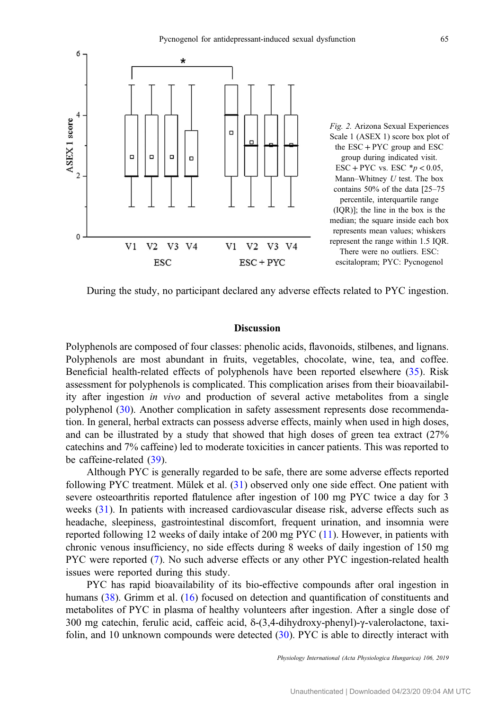<span id="page-6-0"></span>

During the study, no participant declared any adverse effects related to PYC ingestion.

## Discussion

Polyphenols are composed of four classes: phenolic acids, flavonoids, stilbenes, and lignans. Polyphenols are most abundant in fruits, vegetables, chocolate, wine, tea, and coffee. Beneficial health-related effects of polyphenols have been reported elsewhere ([35\)](#page-10-0). Risk assessment for polyphenols is complicated. This complication arises from their bioavailability after ingestion in vivo and production of several active metabolites from a single polyphenol ([30](#page-10-0)). Another complication in safety assessment represents dose recommendation. In general, herbal extracts can possess adverse effects, mainly when used in high doses, and can be illustrated by a study that showed that high doses of green tea extract (27% catechins and 7% caffeine) led to moderate toxicities in cancer patients. This was reported to be caffeine-related [\(39](#page-10-0)).

Although PYC is generally regarded to be safe, there are some adverse effects reported following PYC treatment. Mülek et al. ([31\)](#page-10-0) observed only one side effect. One patient with severe osteoarthritis reported flatulence after ingestion of 100 mg PYC twice a day for 3 weeks ([31\)](#page-10-0). In patients with increased cardiovascular disease risk, adverse effects such as headache, sleepiness, gastrointestinal discomfort, frequent urination, and insomnia were reported following 12 weeks of daily intake of 200 mg PYC ([11\)](#page-9-0). However, in patients with chronic venous insufficiency, no side effects during 8 weeks of daily ingestion of 150 mg PYC were reported [\(7](#page-9-0)). No such adverse effects or any other PYC ingestion-related health issues were reported during this study.

PYC has rapid bioavailability of its bio-effective compounds after oral ingestion in humans [\(38](#page-10-0)). Grimm et al. ([16\)](#page-9-0) focused on detection and quantification of constituents and metabolites of PYC in plasma of healthy volunteers after ingestion. After a single dose of 300 mg catechin, ferulic acid, caffeic acid, δ-(3,4-dihydroxy-phenyl)-γ-valerolactone, taxifolin, and 10 unknown compounds were detected ([30](#page-10-0)). PYC is able to directly interact with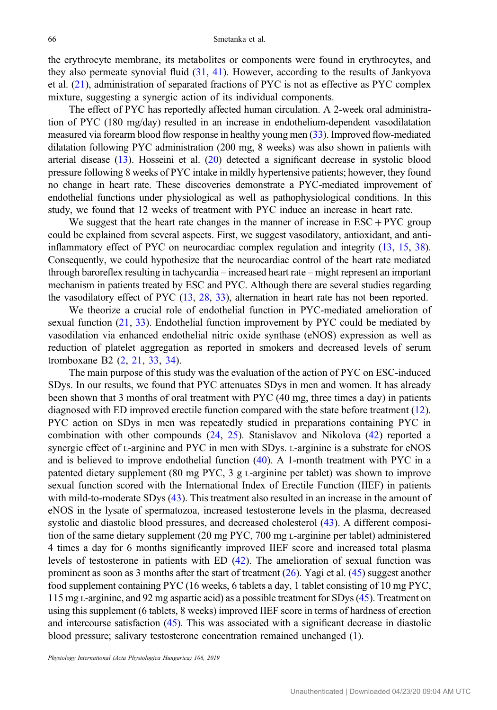the erythrocyte membrane, its metabolites or components were found in erythrocytes, and they also permeate synovial fluid  $(31, 41)$  $(31, 41)$  $(31, 41)$  $(31, 41)$ . However, according to the results of Jankyova et al. ([21\)](#page-9-0), administration of separated fractions of PYC is not as effective as PYC complex mixture, suggesting a synergic action of its individual components.

The effect of PYC has reportedly affected human circulation. A 2-week oral administration of PYC (180 mg/day) resulted in an increase in endothelium-dependent vasodilatation measured via forearm blood flow response in healthy young men ([33](#page-10-0)). Improved flow-mediated dilatation following PYC administration (200 mg, 8 weeks) was also shown in patients with arterial disease ([13\)](#page-9-0). Hosseini et al. [\(20](#page-9-0)) detected a significant decrease in systolic blood pressure following 8 weeks of PYC intake in mildly hypertensive patients; however, they found no change in heart rate. These discoveries demonstrate a PYC-mediated improvement of endothelial functions under physiological as well as pathophysiological conditions. In this study, we found that 12 weeks of treatment with PYC induce an increase in heart rate.

We suggest that the heart rate changes in the manner of increase in  $\text{ESC} + \text{PYC}$  group could be explained from several aspects. First, we suggest vasodilatory, antioxidant, and antiinflammatory effect of PYC on neurocardiac complex regulation and integrity ([13,](#page-9-0) [15,](#page-9-0) [38](#page-10-0)). Consequently, we could hypothesize that the neurocardiac control of the heart rate mediated through baroreflex resulting in tachycardia – increased heart rate – might represent an important mechanism in patients treated by ESC and PYC. Although there are several studies regarding the vasodilatory effect of PYC [\(13,](#page-9-0) [28,](#page-10-0) [33](#page-10-0)), alternation in heart rate has not been reported.

We theorize a crucial role of endothelial function in PYC-mediated amelioration of sexual function  $(21, 33)$  $(21, 33)$  $(21, 33)$ . Endothelial function improvement by PYC could be mediated by vasodilation via enhanced endothelial nitric oxide synthase (eNOS) expression as well as reduction of platelet aggregation as reported in smokers and decreased levels of serum tromboxane B2 [\(2](#page-9-0), [21](#page-9-0), [33](#page-10-0), [34](#page-10-0)).

The main purpose of this study was the evaluation of the action of PYC on ESC-induced SDys. In our results, we found that PYC attenuates SDys in men and women. It has already been shown that 3 months of oral treatment with PYC (40 mg, three times a day) in patients diagnosed with ED improved erectile function compared with the state before treatment [\(12](#page-9-0)). PYC action on SDys in men was repeatedly studied in preparations containing PYC in combination with other compounds [\(24](#page-10-0), [25](#page-10-0)). Stanislavov and Nikolova [\(42](#page-10-0)) reported a synergic effect of L-arginine and PYC in men with SDys. L-arginine is a substrate for eNOS and is believed to improve endothelial function ([40\)](#page-10-0). A 1-month treatment with PYC in a patented dietary supplement (80 mg PYC, 3 g L-arginine per tablet) was shown to improve sexual function scored with the International Index of Erectile Function (IIEF) in patients with mild-to-moderate SDys [\(43](#page-10-0)). This treatment also resulted in an increase in the amount of eNOS in the lysate of spermatozoa, increased testosterone levels in the plasma, decreased systolic and diastolic blood pressures, and decreased cholesterol [\(43](#page-10-0)). A different composition of the same dietary supplement (20 mg PYC, 700 mg L-arginine per tablet) administered 4 times a day for 6 months significantly improved IIEF score and increased total plasma levels of testosterone in patients with ED [\(42\)](#page-10-0). The amelioration of sexual function was prominent as soon as 3 months after the start of treatment  $(26)$  $(26)$ . Yagi et al. [\(45\)](#page-10-0) suggest another food supplement containing PYC (16 weeks, 6 tablets a day, 1 tablet consisting of 10 mg PYC, 115 mg L-arginine, and 92 mg aspartic acid) as a possible treatment for SDys [\(45\)](#page-10-0). Treatment on using this supplement (6 tablets, 8 weeks) improved IIEF score in terms of hardness of erection and intercourse satisfaction [\(45\)](#page-10-0). This was associated with a significant decrease in diastolic blood pressure; salivary testosterone concentration remained unchanged [\(1\)](#page-8-0).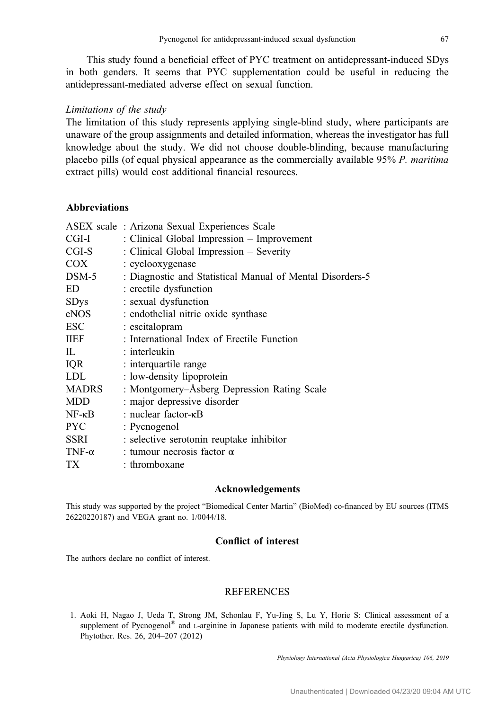<span id="page-8-0"></span>This study found a beneficial effect of PYC treatment on antidepressant-induced SDys in both genders. It seems that PYC supplementation could be useful in reducing the antidepressant-mediated adverse effect on sexual function.

## Limitations of the study

The limitation of this study represents applying single-blind study, where participants are unaware of the group assignments and detailed information, whereas the investigator has full knowledge about the study. We did not choose double-blinding, because manufacturing placebo pills (of equal physical appearance as the commercially available 95% P. maritima extract pills) would cost additional financial resources.

# Abbreviations

|                 | ASEX scale: Arizona Sexual Experiences Scale              |  |
|-----------------|-----------------------------------------------------------|--|
| CGI-I           | : Clinical Global Impression - Improvement                |  |
| CGI-S           | : Clinical Global Impression - Severity                   |  |
| <b>COX</b>      | : cyclooxygenase                                          |  |
| $DSM-5$         | : Diagnostic and Statistical Manual of Mental Disorders-5 |  |
| ED              | : erectile dysfunction                                    |  |
| <b>SDys</b>     | : sexual dysfunction                                      |  |
| eNOS            | : endothelial nitric oxide synthase                       |  |
| ESC             | : escitalopram                                            |  |
| <b>IIEF</b>     | : International Index of Erectile Function                |  |
| IL              | $:$ interleukin                                           |  |
| IQR             | : interquartile range                                     |  |
| <b>LDL</b>      | : low-density lipoprotein                                 |  |
| <b>MADRS</b>    | : Montgomery–Åsberg Depression Rating Scale               |  |
| <b>MDD</b>      | : major depressive disorder                               |  |
| $NF - \kappa B$ | : nuclear factor- $\kappa$ B                              |  |
| <b>PYC</b>      | : Pycnogenol                                              |  |
| SSRI            | : selective serotonin reuptake inhibitor                  |  |
| TNF- $\alpha$   | : tumour necrosis factor $\alpha$                         |  |
| TX              | : thromboxane                                             |  |

#### Acknowledgements

This study was supported by the project "Biomedical Center Martin" (BioMed) co-financed by EU sources (ITMS 26220220187) and VEGA grant no. 1/0044/18.

# Conflict of interest

The authors declare no conflict of interest.

# **REFERENCES**

1. Aoki H, Nagao J, Ueda T, Strong JM, Schonlau F, Yu-Jing S, Lu Y, Horie S: Clinical assessment of a supplement of Pycnogenol<sup>®</sup> and L-arginine in Japanese patients with mild to moderate erectile dysfunction. Phytother. Res. 26, 204–207 (2012)

Physiology International (Acta Physiologica Hungarica) 106, 2019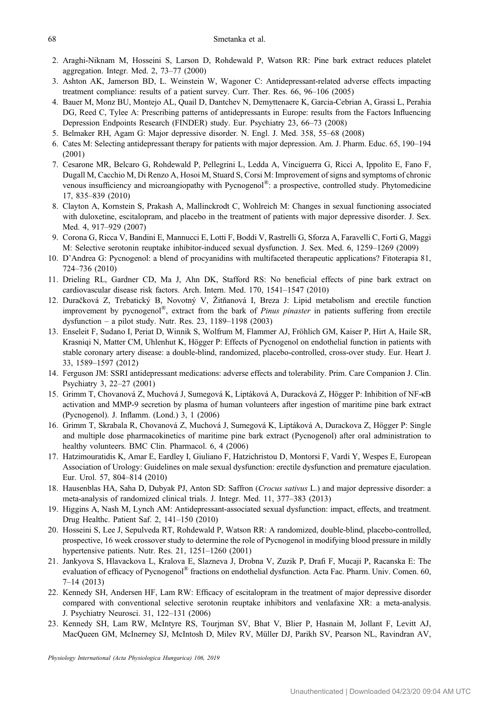- <span id="page-9-0"></span>2. Araghi-Niknam M, Hosseini S, Larson D, Rohdewald P, Watson RR: Pine bark extract reduces platelet aggregation. Integr. Med. 2, 73–77 (2000)
- 3. Ashton AK, Jamerson BD, L. Weinstein W, Wagoner C: Antidepressant-related adverse effects impacting treatment compliance: results of a patient survey. Curr. Ther. Res. 66, 96–106 (2005)
- 4. Bauer M, Monz BU, Montejo AL, Quail D, Dantchev N, Demyttenaere K, Garcia-Cebrian A, Grassi L, Perahia DG, Reed C, Tylee A: Prescribing patterns of antidepressants in Europe: results from the Factors Influencing Depression Endpoints Research (FINDER) study. Eur. Psychiatry 23, 66–73 (2008)
- 5. Belmaker RH, Agam G: Major depressive disorder. N. Engl. J. Med. 358, 55–68 (2008)
- 6. Cates M: Selecting antidepressant therapy for patients with major depression. Am. J. Pharm. Educ. 65, 190–194 (2001)
- 7. Cesarone MR, Belcaro G, Rohdewald P, Pellegrini L, Ledda A, Vinciguerra G, Ricci A, Ippolito E, Fano F, Dugall M, Cacchio M, Di Renzo A, Hosoi M, Stuard S, Corsi M: Improvement of signs and symptoms of chronic venous insufficiency and microangiopathy with Pycnogenol®: a prospective, controlled study. Phytomedicine 17, 835–839 (2010)
- 8. Clayton A, Kornstein S, Prakash A, Mallinckrodt C, Wohlreich M: Changes in sexual functioning associated with duloxetine, escitalopram, and placebo in the treatment of patients with major depressive disorder. J. Sex. Med. 4, 917–929 (2007)
- 9. Corona G, Ricca V, Bandini E, Mannucci E, Lotti F, Boddi V, Rastrelli G, Sforza A, Faravelli C, Forti G, Maggi M: Selective serotonin reuptake inhibitor-induced sexual dysfunction. J. Sex. Med. 6, 1259–1269 (2009)
- 10. D'Andrea G: Pycnogenol: a blend of procyanidins with multifaceted therapeutic applications? Fitoterapia 81, 724–736 (2010)
- 11. Drieling RL, Gardner CD, Ma J, Ahn DK, Stafford RS: No beneficial effects of pine bark extract on cardiovascular disease risk factors. Arch. Intern. Med. 170, 1541–1547 (2010)
- 12. Duračková Z, Trebatický B, Novotný V, Žitňanová I, Breza J: Lipid metabolism and erectile function improvement by pycnogenol®, extract from the bark of Pinus pinaster in patients suffering from erectile dysfunction – a pilot study. Nutr. Res. 23, 1189–1198 (2003)
- 13. Enseleit F, Sudano I, Periat D, Winnik S, Wolfrum M, Flammer AJ, Fröhlich GM, Kaiser P, Hirt A, Haile SR, Krasniqi N, Matter CM, Uhlenhut K, Högger P: Effects of Pycnogenol on endothelial function in patients with stable coronary artery disease: a double-blind, randomized, placebo-controlled, cross-over study. Eur. Heart J. 33, 1589–1597 (2012)
- 14. Ferguson JM: SSRI antidepressant medications: adverse effects and tolerability. Prim. Care Companion J. Clin. Psychiatry 3, 22–27 (2001)
- 15. Grimm T, Chovanová Z, Muchová J, Sumegová K, Liptáková A, Duracková Z, Högger P: Inhibition of NF-κB activation and MMP-9 secretion by plasma of human volunteers after ingestion of maritime pine bark extract (Pycnogenol). J. Inflamm. (Lond.) 3, 1 (2006)
- 16. Grimm T, Skrabala R, Chovanová Z, Muchová J, Sumegová K, Liptáková A, Durackova Z, Högger P: Single and multiple dose pharmacokinetics of maritime pine bark extract (Pycnogenol) after oral administration to healthy volunteers. BMC Clin. Pharmacol. 6, 4 (2006)
- 17. Hatzimouratidis K, Amar E, Eardley I, Giuliano F, Hatzichristou D, Montorsi F, Vardi Y, Wespes E, European Association of Urology: Guidelines on male sexual dysfunction: erectile dysfunction and premature ejaculation. Eur. Urol. 57, 804–814 (2010)
- 18. Hausenblas HA, Saha D, Dubyak PJ, Anton SD: Saffron (Crocus sativus L.) and major depressive disorder: a meta-analysis of randomized clinical trials. J. Integr. Med. 11, 377–383 (2013)
- 19. Higgins A, Nash M, Lynch AM: Antidepressant-associated sexual dysfunction: impact, effects, and treatment. Drug Healthc. Patient Saf. 2, 141–150 (2010)
- 20. Hosseini S, Lee J, Sepulveda RT, Rohdewald P, Watson RR: A randomized, double-blind, placebo-controlled, prospective, 16 week crossover study to determine the role of Pycnogenol in modifying blood pressure in mildly hypertensive patients. Nutr. Res. 21, 1251–1260 (2001)
- 21. Jankyova S, Hlavackova L, Kralova E, Slazneva J, Drobna V, Zuzik P, Drafi F, Mucaji P, Racanska E: The evaluation of efficacy of Pycnogenol® fractions on endothelial dysfunction. Acta Fac. Pharm. Univ. Comen. 60, 7–14 (2013)
- 22. Kennedy SH, Andersen HF, Lam RW: Efficacy of escitalopram in the treatment of major depressive disorder compared with conventional selective serotonin reuptake inhibitors and venlafaxine XR: a meta-analysis. J. Psychiatry Neurosci. 31, 122–131 (2006)
- 23. Kennedy SH, Lam RW, McIntyre RS, Tourjman SV, Bhat V, Blier P, Hasnain M, Jollant F, Levitt AJ, MacQueen GM, McInerney SJ, McIntosh D, Milev RV, Müller DJ, Parikh SV, Pearson NL, Ravindran AV,